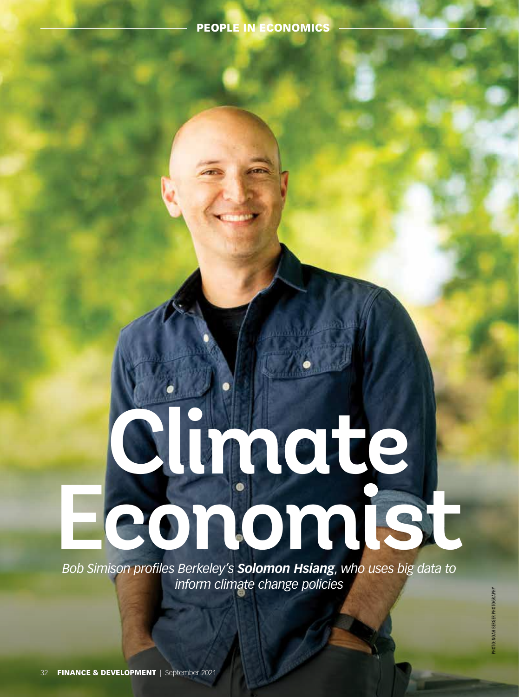# PEOPLE IN ECONOMICS

# **Climate Economist Concept Concept Concept Concept Concept Concept Concept Concept Concept Concept Concept Concept Concept Concept Concept Concept Concept Concept Concept Concept Concept Concept Concept Concept Concept Concept Con**

*Bob Simison profiles Berkeley's Solomon Hsiang*, *who uses big data to inform climate change policies*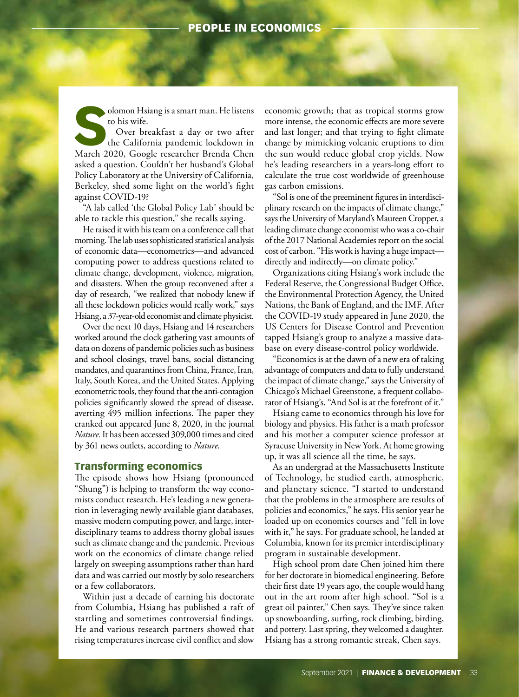# PEOPLE IN ECONOMICS

to his wife.

**Solomon Hsiang is a smart man. He listens to his wife.**<br>
Over breakfast a day or two after the California pandemic lockdown in March 2020, Google researcher Brenda Chen Over breakfast a day or two after the California pandemic lockdown in asked a question. Couldn't her husband's Global Policy Laboratory at the University of California, Berkeley, shed some light on the world's fight against COVID-19?

"A lab called 'the Global Policy Lab' should be able to tackle this question," she recalls saying.

He raised it with his team on a conference call that morning. The lab uses sophisticated statistical analysis of economic data—econometrics—and advanced computing power to address questions related to climate change, development, violence, migration, and disasters. When the group reconvened after a day of research, "we realized that nobody knew if all these lockdown policies would really work," says Hsiang, a 37-year-old economist and climate physicist.

Over the next 10 days, Hsiang and 14 researchers worked around the clock gathering vast amounts of data on dozens of pandemic policies such as business and school closings, travel bans, social distancing mandates, and quarantines from China, France, Iran, Italy, South Korea, and the United States. Applying econometric tools, they found that the anti-contagion policies significantly slowed the spread of disease, averting 495 million infections. The paper they cranked out appeared June 8, 2020, in the journal *Nature.* It has been accessed 309,000 times and cited by 361 news outlets, according to *Nature*.

### Transforming economics

The episode shows how Hsiang (pronounced "Shung") is helping to transform the way economists conduct research. He's leading a new generation in leveraging newly available giant databases, massive modern computing power, and large, interdisciplinary teams to address thorny global issues such as climate change and the pandemic. Previous work on the economics of climate change relied largely on sweeping assumptions rather than hard data and was carried out mostly by solo researchers or a few collaborators.

Within just a decade of earning his doctorate from Columbia, Hsiang has published a raft of startling and sometimes controversial findings. He and various research partners showed that rising temperatures increase civil conflict and slow

economic growth; that as tropical storms grow more intense, the economic effects are more severe and last longer; and that trying to fight climate change by mimicking volcanic eruptions to dim the sun would reduce global crop yields. Now he's leading researchers in a years-long effort to calculate the true cost worldwide of greenhouse gas carbon emissions.

"Sol is one of the preeminent figures in interdisciplinary research on the impacts of climate change," says the University of Maryland's Maureen Cropper, a leading climate change economist who was a co-chair of the 2017 National Academies report on the social cost of carbon. "His work is having a huge impact directly and indirectly—on climate policy."

Organizations citing Hsiang's work include the Federal Reserve, the Congressional Budget Office, the Environmental Protection Agency, the United Nations, the Bank of England, and the IMF. After the COVID-19 study appeared in June 2020, the US Centers for Disease Control and Prevention tapped Hsiang's group to analyze a massive database on every disease-control policy worldwide.

"Economics is at the dawn of a new era of taking advantage of computers and data to fully understand the impact of climate change," says the University of Chicago's Michael Greenstone, a frequent collaborator of Hsiang's. "And Sol is at the forefront of it."

Hsiang came to economics through his love for biology and physics. His father is a math professor and his mother a computer science professor at Syracuse University in New York. At home growing up, it was all science all the time, he says.

As an undergrad at the Massachusetts Institute of Technology, he studied earth, atmospheric, and planetary science. "I started to understand that the problems in the atmosphere are results of policies and economics," he says. His senior year he loaded up on economics courses and "fell in love with it," he says. For graduate school, he landed at Columbia, known for its premier interdisciplinary program in sustainable development.

High school prom date Chen joined him there for her doctorate in biomedical engineering. Before their first date 19 years ago, the couple would hang out in the art room after high school. "Sol is a great oil painter," Chen says. They've since taken up snowboarding, surfing, rock climbing, birding, and pottery. Last spring, they welcomed a daughter. Hsiang has a strong romantic streak, Chen says.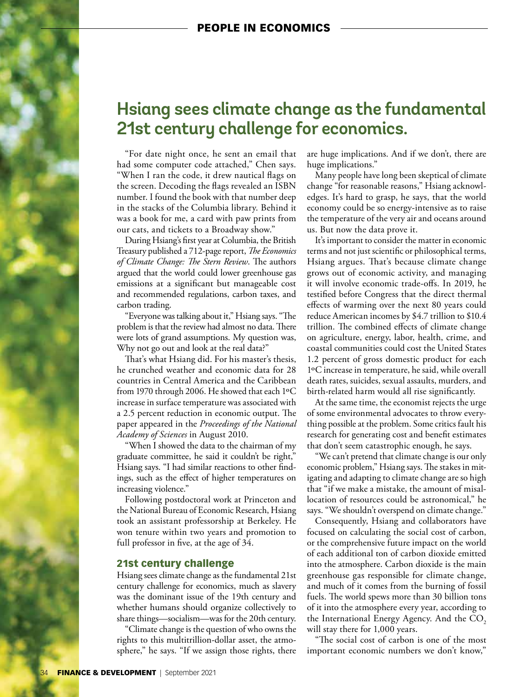# **Hsiang sees climate change as the fundamental 21st century challenge for economics.**

"For date night once, he sent an email that had some computer code attached," Chen says. "When I ran the code, it drew nautical flags on the screen. Decoding the flags revealed an ISBN number. I found the book with that number deep in the stacks of the Columbia library. Behind it was a book for me, a card with paw prints from our cats, and tickets to a Broadway show."

During Hsiang's first year at Columbia, the British Treasury published a 712-page report, *The Economics of Climate Change: The Stern Review*. The authors argued that the world could lower greenhouse gas emissions at a significant but manageable cost and recommended regulations, carbon taxes, and carbon trading.

"Everyone was talking about it," Hsiang says. "The problem is that the review had almost no data. There were lots of grand assumptions. My question was, Why not go out and look at the real data?"

That's what Hsiang did. For his master's thesis, he crunched weather and economic data for 28 countries in Central America and the Caribbean from 1970 through 2006. He showed that each 1ºC increase in surface temperature was associated with a 2.5 percent reduction in economic output. The paper appeared in the *Proceedings of the National Academy of Sciences* in August 2010.

"When I showed the data to the chairman of my graduate committee, he said it couldn't be right," Hsiang says. "I had similar reactions to other findings, such as the effect of higher temperatures on increasing violence."

Following postdoctoral work at Princeton and the National Bureau of Economic Research, Hsiang took an assistant professorship at Berkeley. He won tenure within two years and promotion to full professor in five, at the age of 34.

# 21st century challenge

Hsiang sees climate change as the fundamental 21st century challenge for economics, much as slavery was the dominant issue of the 19th century and whether humans should organize collectively to share things—socialism—was for the 20th century.

"Climate change is the question of who owns the rights to this multitrillion-dollar asset, the atmosphere," he says. "If we assign those rights, there are huge implications. And if we don't, there are huge implications."

Many people have long been skeptical of climate change "for reasonable reasons," Hsiang acknowledges. It's hard to grasp, he says, that the world economy could be so energy-intensive as to raise the temperature of the very air and oceans around us. But now the data prove it.

It's important to consider the matter in economic terms and not just scientific or philosophical terms, Hsiang argues. That's because climate change grows out of economic activity, and managing it will involve economic trade-offs. In 2019, he testified before Congress that the direct thermal effects of warming over the next 80 years could reduce American incomes by \$4.7 trillion to \$10.4 trillion. The combined effects of climate change on agriculture, energy, labor, health, crime, and coastal communities could cost the United States 1.2 percent of gross domestic product for each 1ºC increase in temperature, he said, while overall death rates, suicides, sexual assaults, murders, and birth-related harm would all rise significantly.

At the same time, the economist rejects the urge of some environmental advocates to throw everything possible at the problem. Some critics fault his research for generating cost and benefit estimates that don't seem catastrophic enough, he says.

"We can't pretend that climate change is our only economic problem," Hsiang says. The stakes in mitigating and adapting to climate change are so high that "if we make a mistake, the amount of misallocation of resources could be astronomical," he says. "We shouldn't overspend on climate change."

Consequently, Hsiang and collaborators have focused on calculating the social cost of carbon, or the comprehensive future impact on the world of each additional ton of carbon dioxide emitted into the atmosphere. Carbon dioxide is the main greenhouse gas responsible for climate change, and much of it comes from the burning of fossil fuels. The world spews more than 30 billion tons of it into the atmosphere every year, according to the International Energy Agency. And the CO<sub>2</sub> will stay there for 1,000 years.

"The social cost of carbon is one of the most important economic numbers we don't know,"